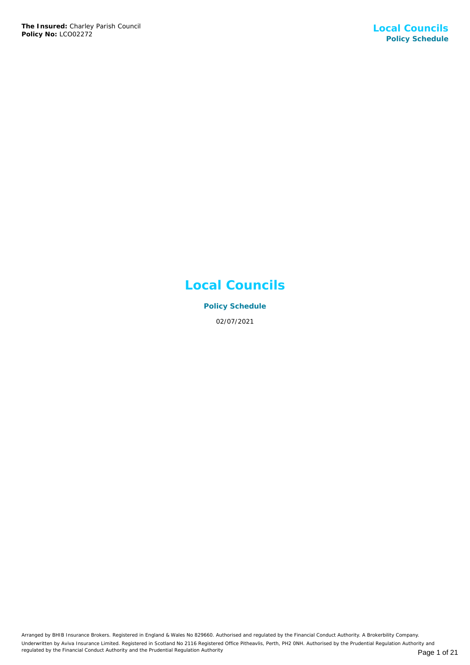# **Local Councils**

**Policy Schedule** 02/07/2021

Arranged by BHIB Insurance Brokers. Registered in England & Wales No 829660. Authorised and regulated by the Financial Conduct Authority. A Brokerbility Company. Underwritten by Aviva Insurance Limited. Registered in Scotland No 2116 Registered Office Pitheavlis, Perth, PH2 0NH. Authorised by the Prudential Regulation Authority and regulated by the Financial Conduct Authority and the Prudential Regulation Authority **Page 1 of 21** Page 1 of 21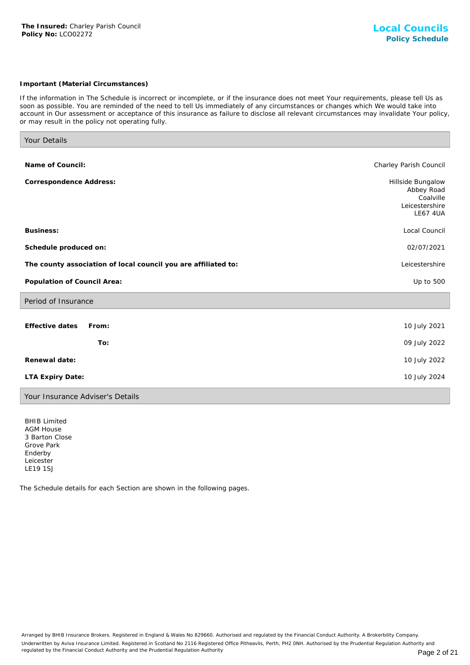## *Important (Material Circumstances)*

*If the information in The Schedule is incorrect or incomplete, or if the insurance does not meet Your requirements, please tell Us as soon as possible. You are reminded of the need to tell Us immediately of any circumstances or changes which We would take into account in Our assessment or acceptance of this insurance as failure to disclose all relevant circumstances may invalidate Your policy, or may result in the policy not operating fully.*

| Your Details                                                   |                                                                                   |
|----------------------------------------------------------------|-----------------------------------------------------------------------------------|
| Name of Council:                                               | Charley Parish Council                                                            |
| Correspondence Address:                                        | Hillside Bungalow<br>Abbey Road<br>Coalville<br>Leicestershire<br><b>LE67 4UA</b> |
| Business:                                                      | Local Council                                                                     |
| Schedule produced on:                                          | 02/07/2021                                                                        |
| The county association of local council you are affiliated to: | Leicestershire                                                                    |
| Population of Council Area:                                    | Up to 500                                                                         |
| Period of Insurance                                            |                                                                                   |
| Effective dates<br>From:                                       | 10 July 2021                                                                      |
| To:                                                            | 09 July 2022                                                                      |
| Renewal date:                                                  | 10 July 2022                                                                      |
| LTA Expiry Date:                                               | 10 July 2024                                                                      |
| Your Insurance Adviser's Details                               |                                                                                   |

BHIB Limited AGM House 3 Barton Close Grove Park Enderby Leicester LE19 1SJ

The Schedule details for each Section are shown in the following pages.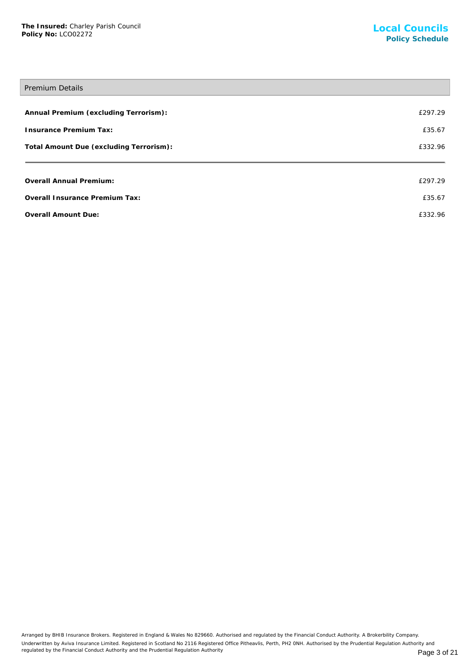## Premium Details

| Annual Premium (excluding Terrorism):   | £297.29 |
|-----------------------------------------|---------|
| <b>Insurance Premium Tax:</b>           | £35.67  |
| Total Amount Due (excluding Terrorism): | £332.96 |
|                                         |         |
| Overall Annual Premium:                 | £297.29 |
| Overall Insurance Premium Tax:          | £35.67  |
| Overall Amount Due:                     | £332.96 |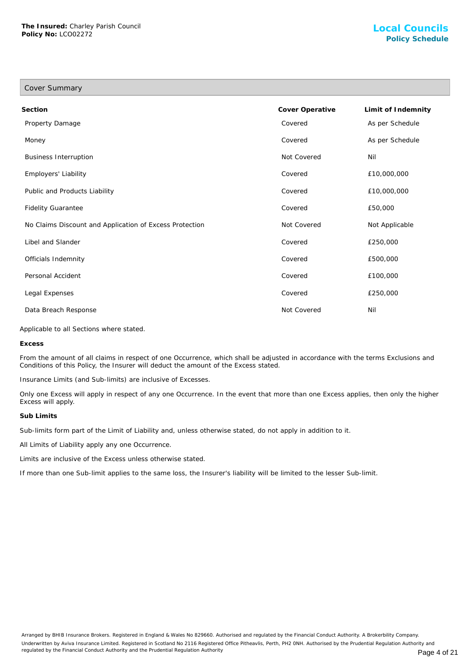| Cover Summary                                           |                 |                    |
|---------------------------------------------------------|-----------------|--------------------|
| Section                                                 | Cover Operative | Limit of Indemnity |
| Property Damage                                         | Covered         | As per Schedule    |
| Money                                                   | Covered         | As per Schedule    |
| <b>Business Interruption</b>                            | Not Covered     | Nil                |
| Employers' Liability                                    | Covered         | £10,000,000        |
| Public and Products Liability                           | Covered         | £10,000,000        |
| <b>Fidelity Guarantee</b>                               | Covered         | £50,000            |
| No Claims Discount and Application of Excess Protection | Not Covered     | Not Applicable     |
| Libel and Slander                                       | Covered         | £250,000           |
| Officials Indemnity                                     | Covered         | £500,000           |
| Personal Accident                                       | Covered         | £100,000           |
| Legal Expenses                                          | Covered         | £250,000           |
| Data Breach Response                                    | Not Covered     | Nil                |

Applicable to all Sections where stated.

**Excess**

From the amount of all claims in respect of one Occurrence, which shall be adjusted in accordance with the terms Exclusions and Conditions of this Policy, the Insurer will deduct the amount of the Excess stated.

Insurance Limits (and Sub-limits) are inclusive of Excesses.

Only one Excess will apply in respect of any one Occurrence. In the event that more than one Excess applies, then only the higher Excess will apply.

#### **Sub Limits**

Sub-limits form part of the Limit of Liability and, unless otherwise stated, do not apply in addition to it.

All Limits of Liability apply any one Occurrence.

Limits are inclusive of the Excess unless otherwise stated.

If more than one Sub-limit applies to the same loss, the Insurer's liability will be limited to the lesser Sub-limit.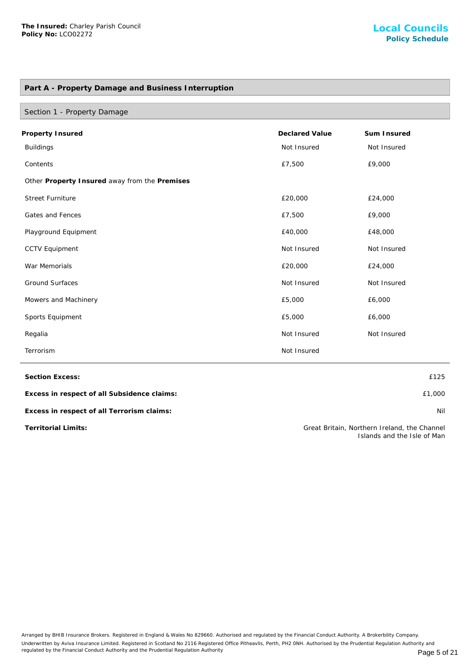## **Part A - Property Damage and Business Interruption**

| Section 1 - Property Damage                   |                       |             |
|-----------------------------------------------|-----------------------|-------------|
| Property Insured                              | <b>Declared Value</b> | Sum Insured |
| <b>Buildings</b>                              | Not Insured           | Not Insured |
| Contents                                      | £7,500                | £9,000      |
| Other Property Insured away from the Premises |                       |             |
| <b>Street Furniture</b>                       | £20,000               | £24,000     |
| Gates and Fences                              | £7,500                | £9,000      |
| Playground Equipment                          | £40,000               | £48,000     |
| <b>CCTV Equipment</b>                         | Not Insured           | Not Insured |
| War Memorials                                 | £20,000               | £24,000     |
| <b>Ground Surfaces</b>                        | Not Insured           | Not Insured |
| Mowers and Machinery                          | £5,000                | £6,000      |
| Sports Equipment                              | £5,000                | £6,000      |
| Regalia                                       | Not Insured           | Not Insured |
| Terrorism                                     | Not Insured           |             |

**Section Excess:** £125

**Excess in respect of all Subsidence claims:** £1,000

**Excess in respect of all Terrorism claims:** Nil

**Territorial Limits:** Great Britain, Northern Ireland, the Channel Islands and the Isle of Man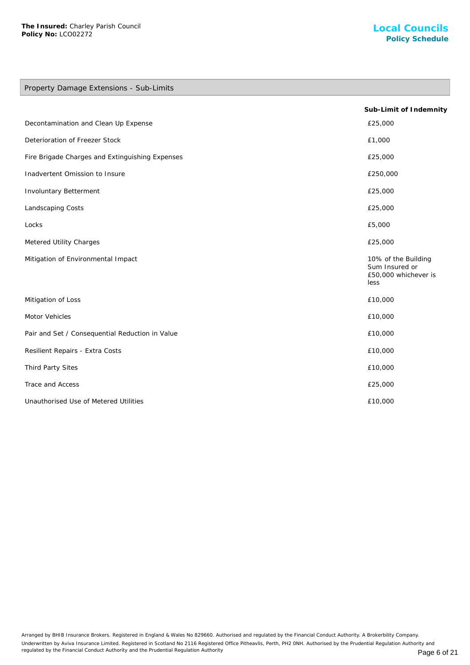## Property Damage Extensions - Sub-Limits

|                                                 | Sub-Limit of Indemnity                                                |
|-------------------------------------------------|-----------------------------------------------------------------------|
| Decontamination and Clean Up Expense            | £25,000                                                               |
| Deterioration of Freezer Stock                  | £1,000                                                                |
| Fire Brigade Charges and Extinguishing Expenses | £25,000                                                               |
| Inadvertent Omission to Insure                  | £250,000                                                              |
| <b>Involuntary Betterment</b>                   | £25,000                                                               |
| Landscaping Costs                               | £25,000                                                               |
| Locks                                           | £5,000                                                                |
| Metered Utility Charges                         | £25,000                                                               |
| Mitigation of Environmental Impact              | 10% of the Building<br>Sum Insured or<br>£50,000 whichever is<br>less |
| Mitigation of Loss                              | £10,000                                                               |
| Motor Vehicles                                  | £10,000                                                               |
| Pair and Set / Consequential Reduction in Value | £10,000                                                               |
| Resilient Repairs - Extra Costs                 | £10,000                                                               |
| Third Party Sites                               | £10,000                                                               |
| Trace and Access                                | £25,000                                                               |
| Unauthorised Use of Metered Utilities           | £10,000                                                               |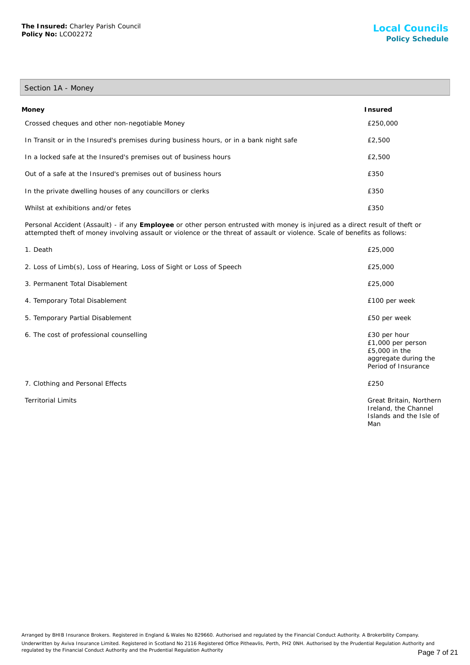# Section 1A - Money

| Money                                                                                  | Insured  |
|----------------------------------------------------------------------------------------|----------|
| Crossed cheques and other non-negotiable Money                                         | £250,000 |
| In Transit or in the Insured's premises during business hours, or in a bank night safe | £2,500   |
| In a locked safe at the Insured's premises out of business hours                       | £2,500   |
| Out of a safe at the Insured's premises out of business hours                          | £350     |
| In the private dwelling houses of any councillors or clerks                            | £350     |
| Whilst at exhibitions and/or fetes                                                     | £350     |

Personal Accident (Assault) - if any **Employee** or other person entrusted with money is injured as a direct result of theft or attempted theft of money involving assault or violence or the threat of assault or violence. Scale of benefits as follows:

| 1. Death                                                             | £25,000                                                                                           |
|----------------------------------------------------------------------|---------------------------------------------------------------------------------------------------|
| 2. Loss of Limb(s), Loss of Hearing, Loss of Sight or Loss of Speech | £25,000                                                                                           |
| 3. Permanent Total Disablement                                       | £25,000                                                                                           |
| 4. Temporary Total Disablement                                       | £100 per week                                                                                     |
| 5. Temporary Partial Disablement                                     | £50 per week                                                                                      |
| 6. The cost of professional counselling                              | £30 per hour<br>£1,000 per person<br>£5,000 in the<br>aggregate during the<br>Period of Insurance |
| 7. Clothing and Personal Effects                                     | £250                                                                                              |
| <b>Territorial Limits</b>                                            | Great Britain, Northern<br>Ireland, the Channel<br>Islands and the Isle of<br>Man                 |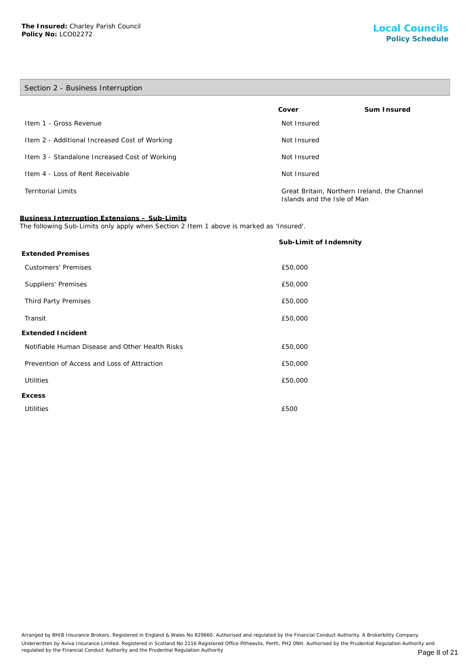**Excess**

# Section 2 - Business Interruption **Cover Sum Insured Item 1 - Gross Revenue Not Insured** Not Insured Item 2 - Additional Increased Cost of Working Not Insured Not Insured Item 3 - Standalone Increased Cost of Working Not Insured Not Insured Item 4 - Loss of Rent Receivable Not Insured Not Insured Territorial Limits Great Britain, Northern Ireland, the Channel Islands and the Isle of Man **Business Interruption Extensions – Sub-Limits** The following Sub-Limits only apply when Section 2 Item 1 above is marked as 'Insured'. **Sub-Limit of Indemnity Extended Premises** Customers' Premises £50,000 Suppliers' Premises **E50,000** Third Party Premises **E50,000** Transit £50,000 **Extended Incident**

Notifiable Human Disease and Other Health Risks £50,000

Prevention of Access and Loss of Attraction £50,000

Utilities £50,000

Utilities **E** EOO

Arranged by BHIB Insurance Brokers. Registered in England & Wales No 829660. Authorised and regulated by the Financial Conduct Authority. A Brokerbility Company. Underwritten by Aviva Insurance Limited. Registered in Scotland No 2116 Registered Office Pitheavlis, Perth, PH2 0NH. Authorised by the Prudential Regulation Authority and regulated by the Financial Conduct Authority and the Prudential Regulation Authority **Page 8 of 21** Page 8 of 21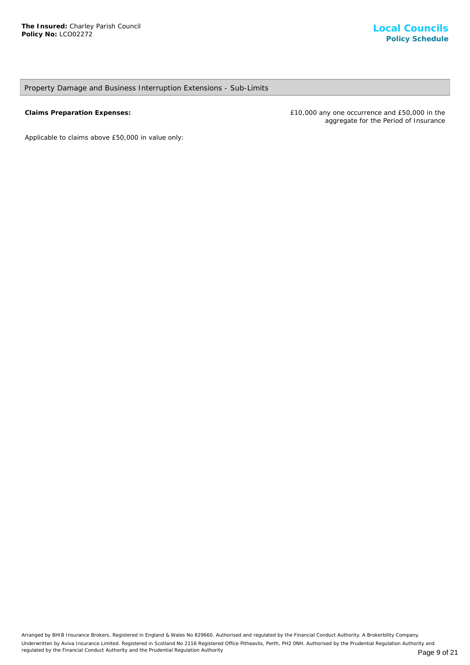## Property Damage and Business Interruption Extensions - Sub-Limits

**Claims Preparation Expenses:** £10,000 any one occurrence and £50,000 in the aggregate for the Period of Insurance

*Applicable to claims above £50,000 in value only*: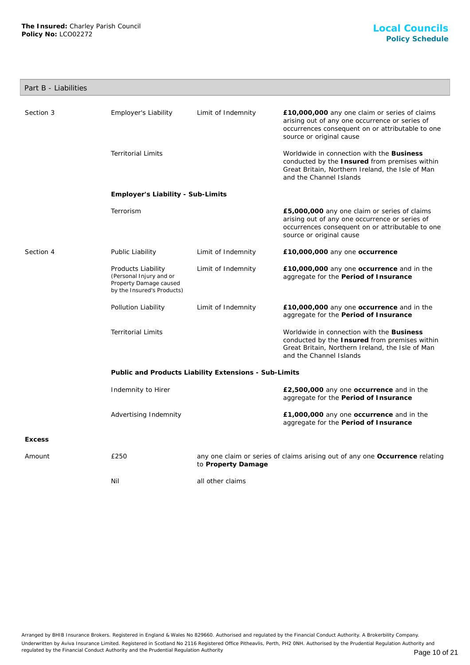## Part B - Liabilities

| Section 3     | Employer's Liability                                                                                  | Limit of Indemnity | £10,000,000 any one claim or series of claims<br>arising out of any one occurrence or series of<br>occurrences consequent on or attributable to one<br>source or original cause |  |
|---------------|-------------------------------------------------------------------------------------------------------|--------------------|---------------------------------------------------------------------------------------------------------------------------------------------------------------------------------|--|
|               | <b>Territorial Limits</b>                                                                             |                    | Worldwide in connection with the Business<br>conducted by the Insured from premises within<br>Great Britain, Northern Ireland, the Isle of Man<br>and the Channel Islands       |  |
|               | Employer's Liability - Sub-Limits                                                                     |                    |                                                                                                                                                                                 |  |
|               | Terrorism                                                                                             |                    | £5,000,000 any one claim or series of claims<br>arising out of any one occurrence or series of<br>occurrences consequent on or attributable to one<br>source or original cause  |  |
| Section 4     | Public Liability                                                                                      | Limit of Indemnity | £10,000,000 any one occurrence                                                                                                                                                  |  |
|               | Products Liability<br>(Personal Injury and or<br>Property Damage caused<br>by the Insured's Products) | Limit of Indemnity | £10,000,000 any one occurrence and in the<br>aggregate for the Period of Insurance                                                                                              |  |
|               | Pollution Liability                                                                                   | Limit of Indemnity | £10,000,000 any one occurrence and in the<br>aggregate for the Period of Insurance                                                                                              |  |
|               | <b>Territorial Limits</b>                                                                             |                    | Worldwide in connection with the Business<br>conducted by the Insured from premises within<br>Great Britain, Northern Ireland, the Isle of Man<br>and the Channel Islands       |  |
|               | Public and Products Liability Extensions - Sub-Limits                                                 |                    |                                                                                                                                                                                 |  |
|               | Indemnity to Hirer                                                                                    |                    | £2,500,000 any one occurrence and in the<br>aggregate for the Period of Insurance                                                                                               |  |
|               | Advertising Indemnity                                                                                 |                    | £1,000,000 any one occurrence and in the<br>aggregate for the Period of Insurance                                                                                               |  |
| <b>Excess</b> |                                                                                                       |                    |                                                                                                                                                                                 |  |
| Amount        | £250                                                                                                  | to Property Damage | any one claim or series of claims arising out of any one Occurrence relating                                                                                                    |  |
|               | Nil                                                                                                   | all other claims   |                                                                                                                                                                                 |  |

Arranged by BHIB Insurance Brokers. Registered in England & Wales No 829660. Authorised and regulated by the Financial Conduct Authority. A Brokerbility Company. Underwritten by Aviva Insurance Limited. Registered in Scotland No 2116 Registered Office Pitheavlis, Perth, PH2 0NH. Authorised by the Prudential Regulation Authority and regulated by the Financial Conduct Authority and the Prudential Regulation Authority **Page 10 of 21** Page 10 of 21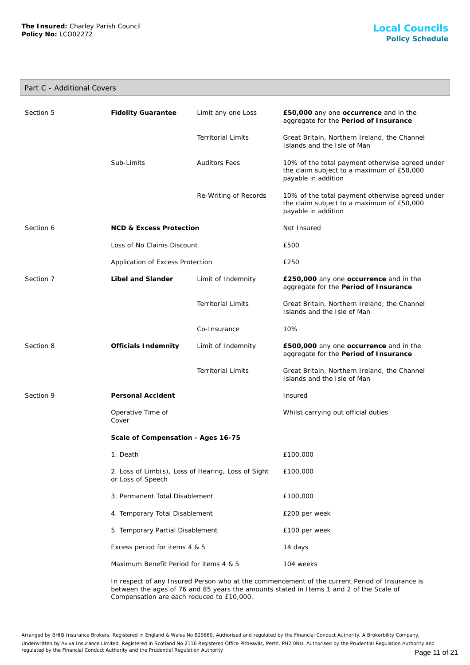## Part C - Additional Covers

| <b>Fidelity Guarantee</b><br>Sub-Limits                                 | Limit any one Loss<br><b>Territorial Limits</b><br><b>Auditors Fees</b> | £50,000 any one occurrence and in the<br>aggregate for the Period of Insurance<br>Great Britain, Northern Ireland, the Channel<br>Islands and the Isle of Man<br>10% of the total payment otherwise agreed under |
|-------------------------------------------------------------------------|-------------------------------------------------------------------------|------------------------------------------------------------------------------------------------------------------------------------------------------------------------------------------------------------------|
|                                                                         |                                                                         |                                                                                                                                                                                                                  |
|                                                                         |                                                                         |                                                                                                                                                                                                                  |
|                                                                         |                                                                         | the claim subject to a maximum of £50,000<br>payable in addition                                                                                                                                                 |
|                                                                         | Re-Writing of Records                                                   | 10% of the total payment otherwise agreed under<br>the claim subject to a maximum of £50,000<br>payable in addition                                                                                              |
| <b>NCD &amp; Excess Protection</b>                                      |                                                                         | Not Insured                                                                                                                                                                                                      |
| Loss of No Claims Discount                                              |                                                                         | £500                                                                                                                                                                                                             |
| Application of Excess Protection                                        |                                                                         | £250                                                                                                                                                                                                             |
| Libel and Slander                                                       | Limit of Indemnity                                                      | £250,000 any one occurrence and in the<br>aggregate for the Period of Insurance                                                                                                                                  |
|                                                                         | <b>Territorial Limits</b>                                               | Great Britain, Northern Ireland, the Channel<br>Islands and the Isle of Man                                                                                                                                      |
|                                                                         | Co-Insurance                                                            | 10%                                                                                                                                                                                                              |
| Officials Indemnity                                                     | Limit of Indemnity                                                      | £500,000 any one occurrence and in the<br>aggregate for the Period of Insurance                                                                                                                                  |
|                                                                         | <b>Territorial Limits</b>                                               | Great Britain, Northern Ireland, the Channel<br>Islands and the Isle of Man                                                                                                                                      |
| Personal Accident                                                       |                                                                         | Insured                                                                                                                                                                                                          |
| Operative Time of<br>Cover                                              |                                                                         | Whilst carrying out official duties                                                                                                                                                                              |
| Scale of Compensation - Ages 16-75                                      |                                                                         |                                                                                                                                                                                                                  |
| 1. Death                                                                |                                                                         | £100,000                                                                                                                                                                                                         |
| 2. Loss of Limb(s), Loss of Hearing, Loss of Sight<br>or Loss of Speech |                                                                         | £100,000                                                                                                                                                                                                         |
| 3. Permanent Total Disablement                                          |                                                                         | £100,000                                                                                                                                                                                                         |
| 4. Temporary Total Disablement                                          |                                                                         | £200 per week                                                                                                                                                                                                    |
| 5. Temporary Partial Disablement                                        |                                                                         | £100 per week                                                                                                                                                                                                    |
|                                                                         |                                                                         | 14 days                                                                                                                                                                                                          |
| Excess period for items 4 & 5                                           |                                                                         |                                                                                                                                                                                                                  |
|                                                                         |                                                                         |                                                                                                                                                                                                                  |

In respect of any Insured Person who at the commencement of the current Period of Insurance is between the ages of 76 and 85 years the amounts stated in Items 1 and 2 of the Scale of Compensation are each reduced to £10,000.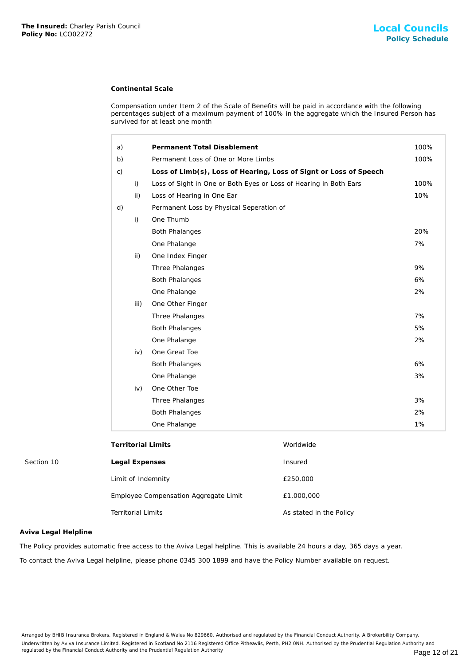## **Continental Scale**

| The Insured: Charley Parish Council<br>Policy No: LCO02272 |                           |                                                                   |                                                                                                                                                                                                    | <b>Local Council</b><br><b>Policy Schedu</b> |
|------------------------------------------------------------|---------------------------|-------------------------------------------------------------------|----------------------------------------------------------------------------------------------------------------------------------------------------------------------------------------------------|----------------------------------------------|
|                                                            |                           | <b>Continental Scale</b>                                          |                                                                                                                                                                                                    |                                              |
|                                                            |                           | survived for at least one month                                   | Compensation under Item 2 of the Scale of Benefits will be paid in accordance with the following<br>percentages subject of a maximum payment of 100% in the aggregate which the Insured Person has |                                              |
|                                                            | a)                        | Permanent Total Disablement                                       |                                                                                                                                                                                                    | 100%                                         |
|                                                            | b)                        | Permanent Loss of One or More Limbs                               |                                                                                                                                                                                                    | 100%                                         |
|                                                            | $\mathsf{C}$ )            |                                                                   | Loss of Limb(s), Loss of Hearing, Loss of Signt or Loss of Speech                                                                                                                                  |                                              |
|                                                            | i)                        | Loss of Sight in One or Both Eyes or Loss of Hearing in Both Ears |                                                                                                                                                                                                    | 100%                                         |
|                                                            | ii)                       | Loss of Hearing in One Ear                                        |                                                                                                                                                                                                    | 10%                                          |
|                                                            | d)                        | Permanent Loss by Physical Seperation of                          |                                                                                                                                                                                                    |                                              |
|                                                            | i)                        | One Thumb                                                         |                                                                                                                                                                                                    |                                              |
|                                                            |                           | <b>Both Phalanges</b>                                             |                                                                                                                                                                                                    | 20%                                          |
|                                                            |                           | One Phalange                                                      |                                                                                                                                                                                                    | 7%                                           |
|                                                            | ii)                       | One Index Finger                                                  |                                                                                                                                                                                                    |                                              |
|                                                            |                           | Three Phalanges                                                   |                                                                                                                                                                                                    | 9%                                           |
|                                                            |                           | <b>Both Phalanges</b>                                             |                                                                                                                                                                                                    | 6%                                           |
|                                                            |                           | One Phalange                                                      |                                                                                                                                                                                                    | 2%                                           |
|                                                            | iii)                      | One Other Finger                                                  |                                                                                                                                                                                                    |                                              |
|                                                            |                           | Three Phalanges                                                   |                                                                                                                                                                                                    | 7%                                           |
|                                                            |                           | <b>Both Phalanges</b>                                             |                                                                                                                                                                                                    | 5%                                           |
|                                                            |                           | One Phalange                                                      |                                                                                                                                                                                                    | 2%                                           |
|                                                            | iv)                       | One Great Toe                                                     |                                                                                                                                                                                                    |                                              |
|                                                            |                           | <b>Both Phalanges</b>                                             |                                                                                                                                                                                                    | 6%                                           |
|                                                            |                           | One Phalange                                                      |                                                                                                                                                                                                    | 3%                                           |
|                                                            | iv)                       | One Other Toe                                                     |                                                                                                                                                                                                    |                                              |
|                                                            |                           | Three Phalanges                                                   |                                                                                                                                                                                                    | 3%                                           |
|                                                            |                           | <b>Both Phalanges</b>                                             |                                                                                                                                                                                                    | 2%                                           |
|                                                            |                           | One Phalange                                                      |                                                                                                                                                                                                    | 1%                                           |
|                                                            |                           | <b>Territorial Limits</b>                                         | Worldwide                                                                                                                                                                                          |                                              |
| Section 10                                                 | Legal Expenses            |                                                                   | Insured                                                                                                                                                                                            |                                              |
|                                                            |                           | Limit of Indemnity                                                | £250,000                                                                                                                                                                                           |                                              |
|                                                            |                           | Employee Compensation Aggregate Limit                             | £1,000,000                                                                                                                                                                                         |                                              |
|                                                            | <b>Territorial Limits</b> |                                                                   | As stated in the Policy                                                                                                                                                                            |                                              |
| Aviva Legal Helpline                                       |                           |                                                                   |                                                                                                                                                                                                    |                                              |
|                                                            |                           |                                                                   | The Policy provides automatic free access to the Aviva Legal helpline. This is available 24 hours a day, 365 days a year.                                                                          |                                              |
|                                                            |                           |                                                                   | To contact the Aviva Legal helpline, please phone 0345 300 1899 and have the Policy Number available on request.                                                                                   |                                              |

| Section 10 |  |
|------------|--|
|------------|--|

|            | <b>Territorial Limits</b>             | Worldwide               |
|------------|---------------------------------------|-------------------------|
| Section 10 | Legal Expenses                        | Insured                 |
|            | Limit of Indemnity                    | £250,000                |
|            | Employee Compensation Aggregate Limit | £1,000,000              |
|            | <b>Territorial Limits</b>             | As stated in the Policy |

## **Aviva Legal Helpline**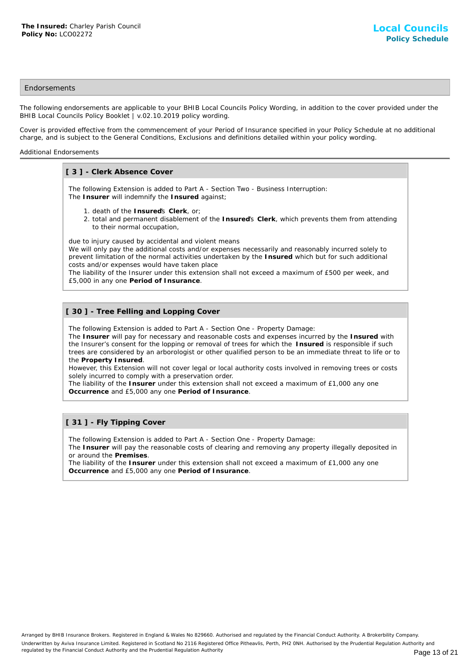## **Endorsements**

The following endorsements are applicable to your BHIB Local Councils Policy Wording, in addition to the cover provided under the BHIB Local Councils Policy Booklet | v.02.10.2019 policy wording.

Cover is provided effective from the commencement of your Period of Insurance specified in your Policy Schedule at no additional charge, and is subject to the General Conditions, Exclusions and definitions detailed within your policy wording.

### Additional Endorsements

## **[ 3 ] - Clerk Absence Cover**

The following Extension is added to Part A - Section Two - Business Interruption: The **Insurer** will indemnify the **Insured** against;

- 1. death of the **Insured**'s **Clerk**, or;
- 2. total and permanent disablement of the Insured's Clerk, which prevents them from attending to their normal occupation,

due to injury caused by accidental and violent means

We will only pay the additional costs and/or expenses necessarily and reasonably incurred solely to prevent limitation of the normal activities undertaken by the **Insured** which but for such additional costs and/or expenses would have taken place

The liability of the Insurer under this extension shall not exceed a maximum of £500 per week, and £5,000 in any one **Period of Insurance**.

## **[ 30 ] - Tree Felling and Lopping Cover**

The following Extension is added to Part A - Section One - Property Damage:

The **Insurer** will pay for necessary and reasonable costs and expenses incurred by the **Insured** with the Insurer's consent for the lopping or removal of trees for which the **Insured** is responsible if such trees are considered by an arborologist or other qualified person to be an immediate threat to life or to the **Property Insured**.

However, this Extension will not cover legal or local authority costs involved in removing trees or costs solely incurred to comply with a preservation order.

The liability of the **Insurer** under this extension shall not exceed a maximum of £1,000 any one **Occurrence** and £5,000 any one **Period of Insurance**.

## **[ 31 ] - Fly Tipping Cover**

The following Extension is added to Part A - Section One - Property Damage:

The **Insurer** will pay the reasonable costs of clearing and removing any property illegally deposited in or around the **Premises**.

The liability of the **Insurer** under this extension shall not exceed a maximum of £1,000 any one **Occurrence** and £5,000 any one **Period of Insurance**.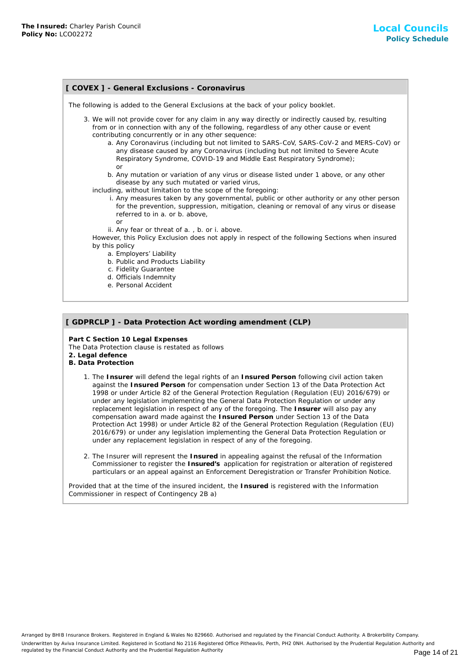## **[ COVEX ] - General Exclusions - Coronavirus** The following is added to the General Exclusions at the back of your policy booklet. 3. We will not provide cover for any claim in any way directly or indirectly caused by, resulting from or in connection with any of the following, regardless of any other cause or event contributing concurrently or in any other sequence: a. Any Coronavirus (including but not limited to SARS-CoV, SARS-CoV-2 and MERS-CoV) or any disease caused by any Coronavirus (including but not limited to Severe Acute Respiratory Syndrome, COVID-19 and Middle East Respiratory Syndrome); or b. Any mutation or variation of any virus or disease listed under 1 above, or any other disease by any such mutated or varied virus, including, without limitation to the scope of the foregoing: i. Any measures taken by any governmental, public or other authority or any other person for the prevention, suppression, mitigation, cleaning or removal of any virus or disease referred to in a. or b. above, or ii. Any fear or threat of a. , b. or i. above. However, this Policy Exclusion does not apply in respect of the following Sections when insured by this policy a. Employers' Liability b. Public and Products Liability c. Fidelity Guarantee d. Officials Indemnity e. Personal Accident

# **[ GDPRCLP ] - Data Protection Act wording amendment (CLP)**

**Part C Section 10 Legal Expenses** The Data Protection clause is restated as follows **2. Legal defence**

- **B. Data Protection**
	- 1. The Insurer will defend the legal rights of an Insured Person following civil action taken against the **Insured Person** for compensation under Section 13 of the Data Protection Act 1998 or under Article 82 of the General Protection Regulation (Regulation (EU) 2016/679) or under any legislation implementing the General Data Protection Regulation or under any replacement legislation in respect of any of the foregoing. The **Insurer** will also pay any compensation award made against the **Insured Person** under Section 13 of the Data Protection Act 1998) or under Article 82 of the General Protection Regulation (Regulation (EU) 2016/679) or under any legislation implementing the General Data Protection Regulation or under any replacement legislation in respect of any of the foregoing.
	- 2. The Insurer will represent the Insured in appealing against the refusal of the Information Commissioner to register the **Insured's** application for registration or alteration of registered particulars or an appeal against an Enforcement Deregistration or Transfer Prohibition Notice.

Provided that at the time of the insured incident, the **Insured** is registered with the Information Commissioner in respect of Contingency 2B a)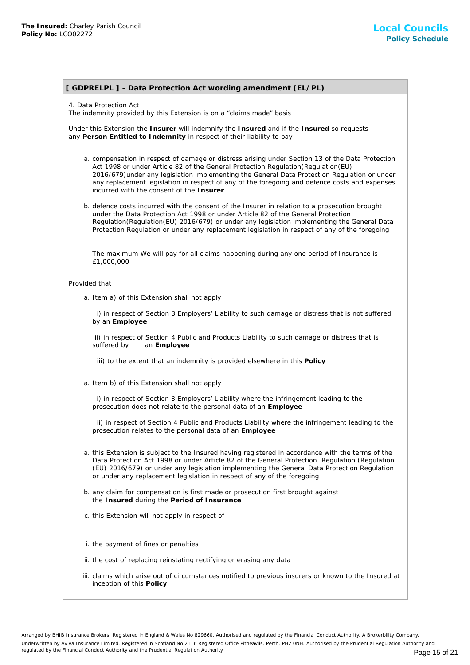# **[ GDPRELPL ] - Data Protection Act wording amendment (EL/PL)**

4. Data Protection Act

The indemnity provided by this Extension is on a "claims made" basis

Under this Extension the **Insurer** will indemnify the **Insured** and if the **Insured** so requests any **Person Entitled to Indemnity** in respect of their liability to pay

- a. compensation in respect of damage or distress arising under Section 13 of the Data Protection Act 1998 or under Article 82 of the General Protection Regulation(Regulation(EU) 2016/679)under any legislation implementing the General Data Protection Regulation or under any replacement legislation in respect of any of the foregoing and defence costs and expenses incurred with the consent of the **Insurer**
- b. defence costs incurred with the consent of the Insurer in relation to a prosecution brought under the Data Protection Act 1998 or under Article 82 of the General Protection Regulation(Regulation(EU) 2016/679) or under any legislation implementing the General Data Protection Regulation or under any replacement legislation in respect of any of the foregoing

The maximum We will pay for all claims happening during any one period of Insurance is £1,000,000

#### Provided that

a. Item a) of this Extension shall not apply

 i) in respect of Section 3 Employers' Liability to such damage or distress that is not suffered by an **Employee**

 ii) in respect of Section 4 Public and Products Liability to such damage or distress that is suffered by an **Employee**

iii) to the extent that an indemnity is provided elsewhere in this **Policy**

a. Item b) of this Extension shall not apply

 i) in respect of Section 3 Employers' Liability where the infringement leading to the prosecution does not relate to the personal data of an **Employee**

 ii) in respect of Section 4 Public and Products Liability where the infringement leading to the prosecution relates to the personal data of an **Employee**

- a. this Extension is subject to the Insured having registered in accordance with the terms of the Data Protection Act 1998 or under Article 82 of the General Protection Regulation (Regulation (EU) 2016/679) or under any legislation implementing the General Data Protection Regulation or under any replacement legislation in respect of any of the foregoing
- b. any claim for compensation is first made or prosecution first brought against the **Insured** during the **Period of Insurance**
- c. this Extension will not apply in respect of
- i. the payment of fines or penalties
- ii. the cost of replacing reinstating rectifying or erasing any data
- iii. claims which arise out of circumstances notified to previous insurers or known to the Insured at inception of this **Policy**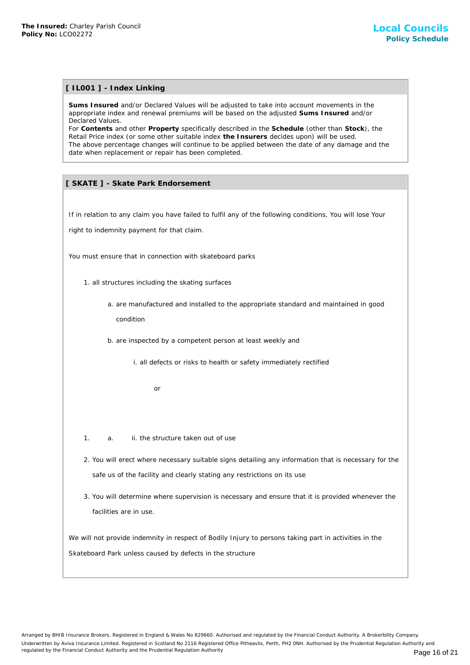## **[ IL001 ] - Index Linking**

**Sums Insured** and/or Declared Values will be adjusted to take into account movements in the appropriate index and renewal premiums will be based on the adjusted **Sums Insured** and/or Declared Values.

For **Contents** and other **Property** specifically described in the **Schedule** (other than **Stock**), the Retail Price index (or some other suitable index **the Insurers** decides upon) will be used. The above percentage changes will continue to be applied between the date of any damage and the date when replacement or repair has been completed. The Insured: Charley Parkin Council<br>
IT ILO01 1 - Index Linking<br>
Sums Insured and/or Detained Values will be adjusted to<br>
experiment index and renewal premiums will be based on<br>
Declared Values.<br>
The above percentage charg

## **[ SKATE ] - Skate Park Endorsement**

If in relation to any claim you have failed to fulfil any of the following conditions, You will lose Your

right to indemnity payment for that claim.

You must ensure that in connection with skateboard parks

- 1. all structures including the skating surfaces
	- a. are manufactured and installed to the appropriate standard and maintained in good condition
	- b. are inspected by a competent person at least weekly and
		- i. all defects or risks to health or safety immediately rectified

or

- 1. a. ii. the structure taken out of use
- 2. You will erect where necessary suitable signs detailing any information that is necessary for the safe us of the facility and clearly stating any restrictions on its use
- 3. You will determine where supervision is necessary and ensure that it is provided whenever the facilities are in use.

We will not provide indemnity in respect of Bodily Injury to persons taking part in activities in the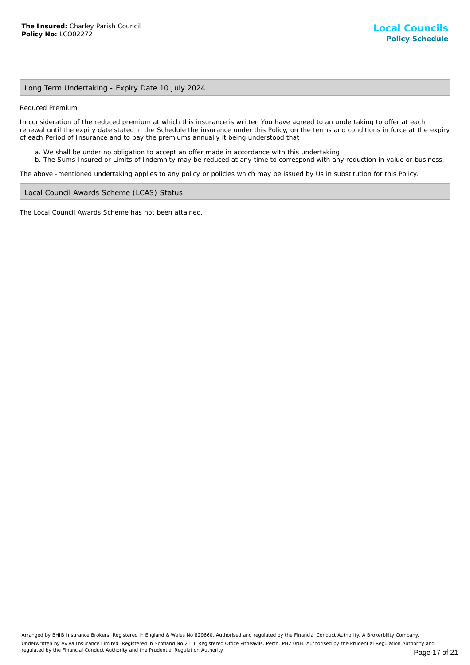## Long Term Undertaking - Expiry Date 10 July 2024

Reduced Premium

In consideration of the reduced premium at which this insurance is written You have agreed to an undertaking to offer at each renewal until the expiry date stated in the Schedule the insurance under this Policy, on the terms and conditions in force at the expiry of each Period of Insurance and to pay the premiums annually it being understood that

- a. We shall be under no obligation to accept an offer made in accordance with this undertaking
- b. The Sums Insured or Limits of Indemnity may be reduced at any time to correspond with any reduction in value or business.

The above -mentioned undertaking applies to any policy or policies which may be issued by Us in substitution for this Policy.

#### Local Council Awards Scheme (LCAS) Status

The Local Council Awards Scheme has not been attained.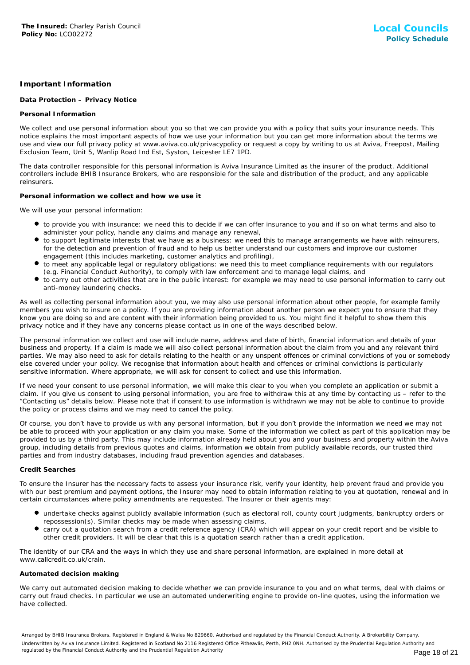## **Important Information**

## **Data Protection – Privacy Notice**

## **Personal Information**

We collect and use personal information about you so that we can provide you with a policy that suits your insurance needs. This notice explains the most important aspects of how we use your information but you can get more information about the terms we use and view our full privacy policy at www.aviva.co.uk/privacypolicy or request a copy by writing to us at Aviva, Freepost, Mailing Exclusion Team, Unit 5, Wanlip Road Ind Est, Syston, Leicester LE7 1PD.

The data controller responsible for this personal information is Aviva Insurance Limited as the insurer of the product. Additional controllers include BHIB Insurance Brokers, who are responsible for the sale and distribution of the product, and any applicable reinsurers.

### **Personal information we collect and how we use it**

We will use your personal information:

- to provide you with insurance: we need this to decide if we can offer insurance to you and if so on what terms and also to administer your policy, handle any claims and manage any renewal,
- to support legitimate interests that we have as a business: we need this to manage arrangements we have with reinsurers, for the detection and prevention of fraud and to help us better understand our customers and improve our customer engagement (this includes marketing, customer analytics and profiling),
- to meet any applicable legal or regulatory obligations: we need this to meet compliance requirements with our regulators (e.g. Financial Conduct Authority), to comply with law enforcement and to manage legal claims, and
- to carry out other activities that are in the public interest: for example we may need to use personal information to carry out anti-money laundering checks.

As well as collecting personal information about you, we may also use personal information about other people, for example family members you wish to insure on a policy. If you are providing information about another person we expect you to ensure that they know you are doing so and are content with their information being provided to us. You might find it helpful to show them this privacy notice and if they have any concerns please contact us in one of the ways described below.

The personal information we collect and use will include name, address and date of birth, financial information and details of your business and property. If a claim is made we will also collect personal information about the claim from you and any relevant third parties. We may also need to ask for details relating to the health or any unspent offences or criminal convictions of you or somebody else covered under your policy. We recognise that information about health and offences or criminal convictions is particularly sensitive information. Where appropriate, we will ask for consent to collect and use this information.

If we need your consent to use personal information, we will make this clear to you when you complete an application or submit a claim. If you give us consent to using personal information, you are free to withdraw this at any time by contacting us – refer to the "Contacting us" details below. Please note that if consent to use information is withdrawn we may not be able to continue to provide the policy or process claims and we may need to cancel the policy.

Of course, you don't have to provide us with any personal information, but if you don't provide the information we need we may not be able to proceed with your application or any claim you make. Some of the information we collect as part of this application may be provided to us by a third party. This may include information already held about you and your business and property within the Aviva group, including details from previous quotes and claims, information we obtain from publicly available records, our trusted third parties and from industry databases, including fraud prevention agencies and databases.

### **Credit Searches**

To ensure the Insurer has the necessary facts to assess your insurance risk, verify your identity, help prevent fraud and provide you with our best premium and payment options, the Insurer may need to obtain information relating to you at quotation, renewal and in certain circumstances where policy amendments are requested. The Insurer or their agents may:

- undertake checks against publicly available information (such as electoral roll, county court judgments, bankruptcy orders or repossession(s). Similar checks may be made when assessing claims,
- carry out a quotation search from a credit reference agency (CRA) which will appear on your credit report and be visible to other credit providers. It will be clear that this is a quotation search rather than a credit application.

The identity of our CRA and the ways in which they use and share personal information, are explained in more detail at www.callcredit.co.uk/crain.

### **Automated decision making**

We carry out automated decision making to decide whether we can provide insurance to you and on what terms, deal with claims or carry out fraud checks. In particular we use an automated underwriting engine to provide on-line quotes, using the information we have collected.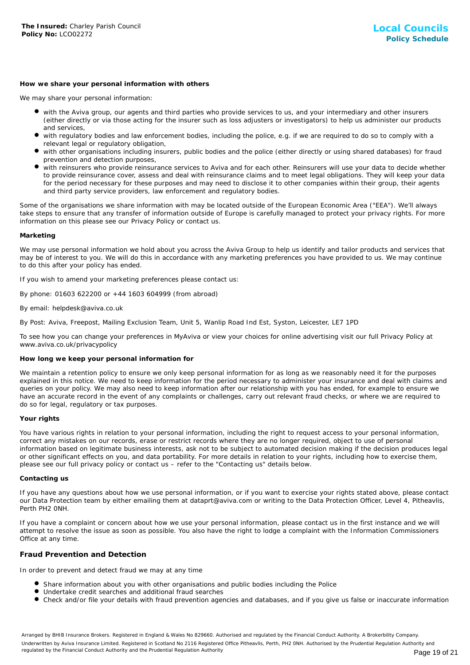#### **How we share your personal information with others**

We may share your personal information:

- with the Aviva group, our agents and third parties who provide services to us, and your intermediary and other insurers (either directly or via those acting for the insurer such as loss adjusters or investigators) to help us administer our products and services,
- with regulatory bodies and law enforcement bodies, including the police, e.g. if we are required to do so to comply with a relevant legal or regulatory obligation,
- with other organisations including insurers, public bodies and the police (either directly or using shared databases) for fraud prevention and detection purposes,
- with reinsurers who provide reinsurance services to Aviva and for each other. Reinsurers will use your data to decide whether to provide reinsurance cover, assess and deal with reinsurance claims and to meet legal obligations. They will keep your data for the period necessary for these purposes and may need to disclose it to other companies within their group, their agents and third party service providers, law enforcement and regulatory bodies.

Some of the organisations we share information with may be located outside of the European Economic Area ("EEA"). We'll always take steps to ensure that any transfer of information outside of Europe is carefully managed to protect your privacy rights. For more information on this please see our Privacy Policy or contact us.

#### **Marketing**

We may use personal information we hold about you across the Aviva Group to help us identify and tailor products and services that may be of interest to you. We will do this in accordance with any marketing preferences you have provided to us. We may continue to do this after your policy has ended.

If you wish to amend your marketing preferences please contact us:

By phone: 01603 622200 or +44 1603 604999 (from abroad)

#### By email: helpdesk@aviva.co.uk

By Post: Aviva, Freepost, Mailing Exclusion Team, Unit 5, Wanlip Road Ind Est, Syston, Leicester, LE7 1PD

To see how you can change your preferences in MyAviva or view your choices for online advertising visit our full Privacy Policy at www.aviva.co.uk/privacypolicy

#### **How long we keep your personal information for**

We maintain a retention policy to ensure we only keep personal information for as long as we reasonably need it for the purposes explained in this notice. We need to keep information for the period necessary to administer your insurance and deal with claims and queries on your policy. We may also need to keep information after our relationship with you has ended, for example to ensure we have an accurate record in the event of any complaints or challenges, carry out relevant fraud checks, or where we are required to do so for legal, regulatory or tax purposes.

### **Your rights**

You have various rights in relation to your personal information, including the right to request access to your personal information, correct any mistakes on our records, erase or restrict records where they are no longer required, object to use of personal information based on legitimate business interests, ask not to be subject to automated decision making if the decision produces legal or other significant effects on you, and data portability. For more details in relation to your rights, including how to exercise them, please see our full privacy policy or contact us – refer to the "Contacting us" details below.

#### **Contacting us**

If you have any questions about how we use personal information, or if you want to exercise your rights stated above, please contact our Data Protection team by either emailing them at dataprt@aviva.com or writing to the Data Protection Officer, Level 4, Pitheavlis, Perth PH2 0NH.

If you have a complaint or concern about how we use your personal information, please contact us in the first instance and we will attempt to resolve the issue as soon as possible. You also have the right to lodge a complaint with the Information Commissioners Office at any time.

## **Fraud Prevention and Detection**

In order to prevent and detect fraud we may at any time

- **Share information about you with other organisations and public bodies including the Police**
- Undertake credit searches and additional fraud searches
- Check and/or file your details with fraud prevention agencies and databases, and if you give us false or inaccurate information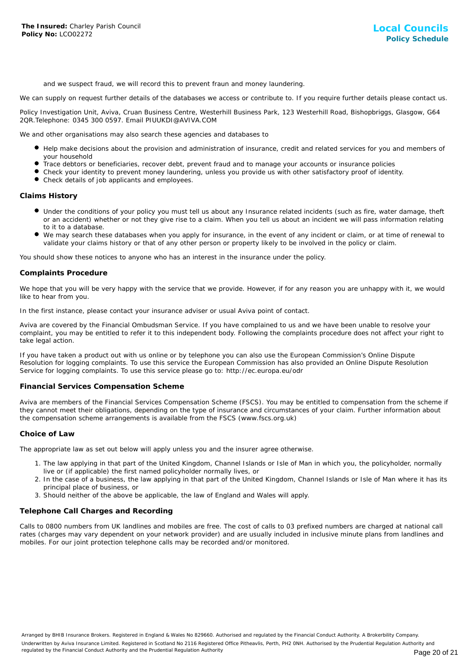and we suspect fraud, we will record this to prevent fraun and money laundering.

We can supply on request further details of the databases we access or contribute to. If you require further details please contact us.

Policy Investigation Unit, Aviva, Cruan Business Centre, Westerhill Business Park, 123 Westerhill Road, Bishopbriggs, Glasgow, G64 2QR.Telephone: 0345 300 0597. Email PIUUKDI@AVIVA.COM

We and other organisations may also search these agencies and databases to

- Help make decisions about the provision and administration of insurance, credit and related services for you and members of your household
- Trace debtors or beneficiaries, recover debt, prevent fraud and to manage your accounts or insurance policies
- Check your identity to prevent money laundering, unless you provide us with other satisfactory proof of identity.
- Check details of job applicants and employees.

## **Claims History**

- Under the conditions of your policy you must tell us about any Insurance related incidents (such as fire, water damage, theft or an accident) whether or not they give rise to a claim. When you tell us about an incident we will pass information relating to it to a database.
- We may search these databases when you apply for insurance, in the event of any incident or claim, or at time of renewal to validate your claims history or that of any other person or property likely to be involved in the policy or claim.

You should show these notices to anyone who has an interest in the insurance under the policy.

#### **Complaints Procedure**

We hope that you will be very happy with the service that we provide. However, if for any reason you are unhappy with it, we would like to hear from you.

In the first instance, please contact your insurance adviser or usual Aviva point of contact.

Aviva are covered by the Financial Ombudsman Service. If you have complained to us and we have been unable to resolve your complaint, you may be entitled to refer it to this independent body. Following the complaints procedure does not affect your right to take legal action.

If you have taken a product out with us online or by telephone you can also use the European Commission's Online Dispute Resolution for logging complaints. To use this service the European Commission has also provided an Online Dispute Resolution Service for logging complaints. To use this service please go to: http://ec.europa.eu/odr

#### **Financial Services Compensation Scheme**

Aviva are members of the Financial Services Compensation Scheme (FSCS). You may be entitled to compensation from the scheme if they cannot meet their obligations, depending on the type of insurance and circumstances of your claim. Further information about the compensation scheme arrangements is available from the FSCS (www.fscs.org.uk)

#### **Choice of Law**

The appropriate law as set out below will apply unless you and the insurer agree otherwise.

- 1. The law applying in that part of the United Kingdom, Channel Islands or Isle of Man in which you, the policyholder, normally live or (if applicable) the first named policyholder normally lives, or
- 2. In the case of a business, the law applying in that part of the United Kingdom, Channel Islands or Isle of Man where it has its principal place of business, or
- 3. Should neither of the above be applicable, the law of England and Wales will apply.

## **Telephone Call Charges and Recording**

Calls to 0800 numbers from UK landlines and mobiles are free. The cost of calls to 03 prefixed numbers are charged at national call rates (charges may vary dependent on your network provider) and are usually included in inclusive minute plans from landlines and mobiles. For our joint protection telephone calls may be recorded and/or monitored.